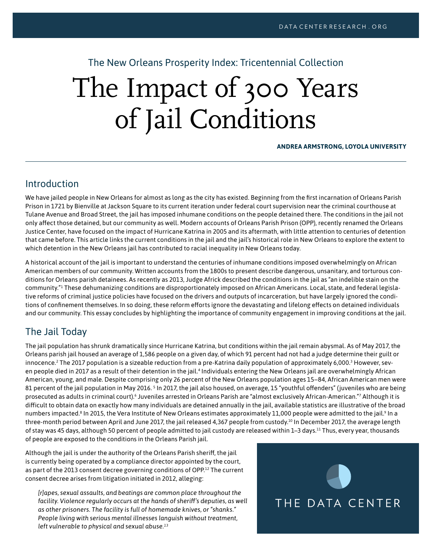The New Orleans Prosperity Index: Tricentennial Collection

# The Impact of 300 Years of Jail Conditions

#### **ANDREA ARMSTRONG, LOYOLA UNIVERSITY**

#### Introduction

We have jailed people in New Orleans for almost as long as the city has existed. Beginning from the first incarnation of Orleans Parish Prison in 1721 by Bienville at Jackson Square to its current iteration under federal court supervision near the criminal courthouse at Tulane Avenue and Broad Street, the jail has imposed inhumane conditions on the people detained there. The conditions in the jail not only affect those detained, but our community as well. Modern accounts of Orleans Parish Prison (OPP), recently renamed the Orleans Justice Center, have focused on the impact of Hurricane Katrina in 2005 and its aftermath, with little attention to centuries of detention that came before. This article links the current conditions in the jail and the jail's historical role in New Orleans to explore the extent to which detention in the New Orleans jail has contributed to racial inequality in New Orleans today.

A historical account of the jail is important to understand the centuries of inhumane conditions imposed overwhelmingly on African American members of our community. Written accounts from the 1800s to present describe dangerous, unsanitary, and torturous conditions for Orleans parish detainees. As recently as 2013, Judge Africk described the conditions in the jail as "an indelible stain on the community."1 These dehumanizing conditions are disproportionately imposed on African Americans. Local, state, and federal legislative reforms of criminal justice policies have focused on the drivers and outputs of incarceration, but have largely ignored the conditions of confinement themselves. In so doing, these reform efforts ignore the devastating and lifelong effects on detained individuals and our community. This essay concludes by highlighting the importance of community engagement in improving conditions at the jail.

# The Jail Today

The jail population has shrunk dramatically since Hurricane Katrina, but conditions within the jail remain abysmal. As of May 2017, the Orleans parish jail housed an average of 1,586 people on a given day, of which 91 percent had not had a judge determine their guilt or innocence.<sup>2</sup> The 2017 population is a sizeable reduction from a pre-Katrina daily population of approximately 6,000.<sup>[3](#page-5-0)</sup> However, sev-en people died in 2017 as a result of their detention in the jail.<sup>[4](#page-5-1)</sup> Individuals entering the New Orleans jail are overwhelmingly African American, young, and male. Despite comprising only 26 percent of the New Orleans population ages 15–84, African American men were 81 percent of the jail population in May 2016. <sup>s</sup> In 2017, the jail also housed, on average, 1[5](#page-5-2) "youthful offenders" (juveniles who are being prosecuted as adults in criminal court).<sup>[6](#page-5-3)</sup> Juveniles arrested in Orleans Parish are "almost exclusively African-American."<sup>7</sup> Although it is difficult to obtain data on exactly how many individuals are detained annually in the jail, available statistics are illustrative of the broad numbers impacted.<sup>8</sup> In 2015, the Vera Institute of New Orleans estimates approximately 11,000 people were admitted to the jail.<sup>[9](#page-5-6)</sup> In a three-month period between April and June 2017, the jail released 4,367 people from custody.<sup>10</sup> In December 2017, the average length of stay was 45 days, although 50 percent of people admitted to jail custody are released within 1–3 days.<sup>11</sup> Thus, every year, thousands of people are exposed to the conditions in the Orleans Parish jail.

Although the jail is under the authority of the Orleans Parish sheriff, the jail is currently being operated by a compliance director appointed by the court, as part of the 2013 consent decree governing conditions of OPP.<sup>12</sup> The current consent decree arises from litigation initiated in 2012, alleging:

*[r]apes, sexual assaults, and beatings are common place throughout the facility. Violence regularly occurs at the hands of sheriff's deputies, as well as other prisoners. The facility is full of homemade knives, or "shanks." People living with serious mental illnesses languish without treatment, left vulnerable to physical and sexual abuse.[13](#page-5-9)*

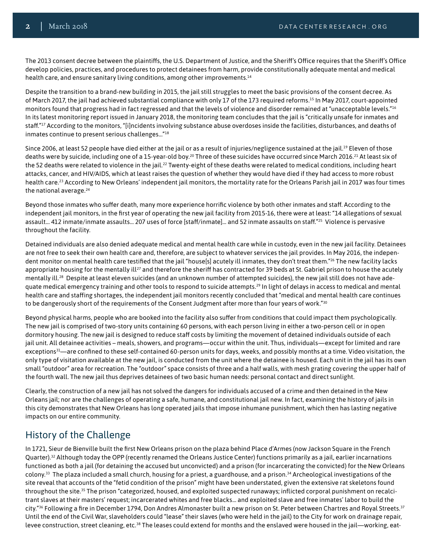The 2013 consent decree between the plaintiffs, the U.S. Department of Justice, and the Sheriff's Office requires that the Sheriff's Office develop policies, practices, and procedures to protect detainees from harm, provide constitutionally adequate mental and medical health care, and ensure sanitary living conditions, among other improvements.<sup>14</sup>

Despite the transition to a brand-new building in 2015, the jail still struggles to meet the basic provisions of the consent decree. As of March 2017, the jail had achieved substantial compliance with only 17 of the 173 required reforms.[15](#page-5-11) In May 2017, court-appointed monitors found that progress had in fact regressed and that the levels of violence and disorder remained at "unacceptable levels."<sup>[16](#page-6-0)</sup> In its latest monitoring report issued in January 2018, the monitoring team concludes that the jail is "critically unsafe for inmates and staff."[17](#page-6-1) According to the monitors, "[i]ncidents involving substance abuse overdoses inside the facilities, disturbances, and deaths of inmates continue to present serious challenges…"[18](#page-6-2)

Since 2006, at least 52 people have died either at the jail or as a result of injuries/negligence sustained at the jail.<sup>19</sup> Eleven of those deaths were by suicide, including one of a 15-year-old boy.<sup>[20](#page-6-4)</sup> Three of these suicides have occurred since March 2016.<sup>21</sup> At least six of the 52 deaths were related to violence in the jail.<sup>22</sup> Twenty-eight of these deaths were related to medical conditions, including heart attacks, cancer, and HIV/AIDS, which at least raises the question of whether they would have died if they had access to more robust health care.[23](#page-6-7) According to New Orleans' independent jail monitors, the mortality rate for the Orleans Parish jail in 2017 was four times the national average.<sup>[24](#page-6-8)</sup>

Beyond those inmates who suffer death, many more experience horrific violence by both other inmates and staff. According to the independent jail monitors, in the first year of operating the new jail facility from 2015-16, there were at least: "14 allegations of sexual assault… 412 inmate/inmate assaults… 207 uses of force [staff/inmate]… and 52 inmate assaults on staff."[25](#page-6-9) Violence is pervasive throughout the facility.

Detained individuals are also denied adequate medical and mental health care while in custody, even in the new jail facility. Detainees are not free to seek their own health care and, therefore, are subject to whatever services the jail provides. In May 2016, the indepen-dent monitor on mental health care testified that the jail "house[s] acutely ill inmates, they don't treat them."<sup>[26](#page-6-10)</sup> The new facility lacks appropriate housing for the mentally ill<sup>[27](#page-6-11)</sup> and therefore the sheriff has contracted for 39 beds at St. Gabriel prison to house the acutely mentally ill.[28](#page-6-12) Despite at least eleven suicides (and an unknown number of attempted suicides), the new jail still does not have adequate medical emergency training and other tools to respond to suicide attempts[.29](#page-6-13) In light of delays in access to medical and mental health care and staffing shortages, the independent jail monitors recently concluded that "medical and mental health care continues to be dangerously short of the requirements of the Consent Judgment after more than four years of work."<sup>[30](#page-6-14)</sup>

Beyond physical harms, people who are booked into the facility also suffer from conditions that could impact them psychologically. The new jail is comprised of two-story units containing 60 persons, with each person living in either a two-person cell or in open dormitory housing. The new jail is designed to reduce staff costs by limiting the movement of detained individuals outside of each jail unit. All detainee activities – meals, showers, and programs—occur within the unit. Thus, individuals—except for limited and rare exceptions<sup>[31](#page-6-15)</sup>—are confined to these self-contained 60-person units for days, weeks, and possibly months at a time. Video visitation, the only type of visitation available at the new jail, is conducted from the unit where the detainee is housed. Each unit in the jail has its own small "outdoor" area for recreation. The "outdoor" space consists of three and a half walls, with mesh grating covering the upper half of the fourth wall. The new jail thus deprives detainees of two basic human needs: personal contact and direct sunlight.

Clearly, the construction of a new jail has not solved the dangers for individuals accused of a crime and then detained in the New Orleans jail; nor are the challenges of operating a safe, humane, and constitutional jail new. In fact, examining the history of jails in this city demonstrates that New Orleans has long operated jails that impose inhumane punishment, which then has lasting negative impacts on our entire community.

# History of the Challenge

In 1721, Sieur de Bienville built the first New Orleans prison on the plaza behind Place d'Armes (now Jackson Square in the French Quarter).<sup>[32](#page-6-16)</sup> Although today the OPP (recently renamed the Orleans Justice Center) functions primarily as a jail, earlier incarnations functioned as both a jail (for detaining the accused but unconvicted) and a prison (for incarcerating the convicted) for the New Orleans colony.[33](#page-6-17) The plaza included a small church, housing for a priest, a guardhouse, and a prison.[34](#page-6-18) Archeological investigations of the site reveal that accounts of the "fetid condition of the prison" might have been understated, given the extensive rat skeletons found throughout the site.[35](#page-6-19) The prison "categorized, housed, and exploited suspected runaways; inflicted corporal punishment on recalcitrant slaves at their masters' request; incarcerated whites and free blacks… and exploited slave and free inmates' labor to build the city."<sup>36</sup> Following a fire in December 1794, Don Andres Almonaster built a new prison on St. Peter between Chartres and Royal Streets.<sup>37</sup> Until the end of the Civil War, slaveholders could "lease" their slaves (who were held in the jail) to the City for work on drainage repair, levee construction, street cleaning, etc[.38](#page-6-22) The leases could extend for months and the enslaved were housed in the jail—working, eat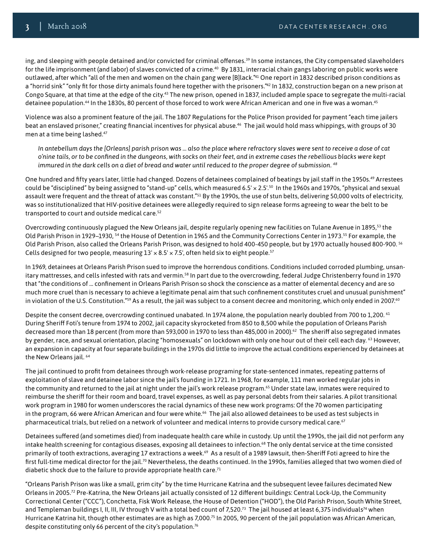ing, and sleeping with people detained and/or convicted for criminal offenses.<sup>[39](#page-6-23)</sup> In some instances, the City compensated slaveholders for the life imprisonment (and labor) of slaves convicted of a crime.<sup>40</sup> By 1831, interracial chain gangs laboring on public works were outlawed, after which "all of the men and women on the chain gang were [B]lack."<sup>41</sup> One report in 1832 described prison conditions as a "horrid sink" "only fit for those dirty animals found here together with the prisoners."<sup>42</sup> In 1832, construction began on a new prison at Congo Square, at that time at the edge of the city.[43](#page-7-3) The new prison, opened in 1837, included ample space to segregate the multi-racial detainee population.<sup>44</sup> In the 1830s, 80 percent of those forced to work were African American and one in five was a woman.<sup>45</sup>

Violence was also a prominent feature of the jail. The 1807 Regulations for the Police Prison provided for payment "each time jailers beat an enslaved prisoner," creating financial incentives for physical abuse.<sup>[46](#page-7-6)</sup> The jail would hold mass whippings, with groups of 30 men at a time being lashed.[47](#page-7-7)

*In antebellum days the [Orleans] parish prison was … also the place where refractory slaves were sent to receive a dose of cat o'nine tails, or to be confined in the dungeons, with socks on their feet, and in extreme cases the rebellious blacks were kept immured in the dark cells on a diet of bread and water until reduced to the proper degree of submission. [48](#page-7-8)*

One hundred and fifty years later, little had changed. Dozens of detainees complained of beatings by jail staff in the 1950s.<sup>49</sup> Arrestees could be "disciplined" by being assigned to "stand-up" cells, which measured 6.5'  $\times$  2.5'.<sup>50</sup> In the 1960s and 1970s, "physical and sexual assault were frequent and the threat of attack was constant."<sup>[51](#page-7-11)</sup> By the 1990s, the use of stun belts, delivering 50,000 volts of electricity, was so institutionalized that HIV-positive detainees were allegedly required to sign release forms agreeing to wear the belt to be transported to court and outside medical care.[52](#page-7-12)

Overcrowding continuously plagued the New Orleans jail, despite regularly opening new facilities on Tulane Avenue in 1895,<sup>53</sup> the Old Parish Prison in 1929–1930, [54](#page-7-14) the House of Detention in 1965 and the Community Corrections Center in 1973[.55](#page-7-15) For example, the Old Parish Prison, also called the Orleans Parish Prison, was designed to hold 400-450 people, but by 1970 actually housed 800-900. [56](#page-7-16) Cells designed for two people, measuring  $13' \times 8.5' \times 7.5'$ , often held six to eight people.<sup>[57](#page-7-17)</sup>

In 1969, detainees at Orleans Parish Prison sued to improve the horrendous conditions. Conditions included corroded plumbing, unsan-itary mattresses, and cells infested with rats and vermin.<sup>[58](#page-7-18)</sup> In part due to the overcrowding, federal Judge Christenberry found in 1970 that "the conditions of … confinement in Orleans Parish Prison so shock the conscience as a matter of elemental decency and are so much more cruel than is necessary to achieve a legitimate penal aim that such confinement constitutes cruel and unusual punishment" in violation of the U.S. Constitution."<sup>59</sup> As a result, the jail was subject to a consent decree and monitoring, which only ended in 2007.<sup>[60](#page-7-20)</sup>

Despite the consent decree, overcrowding continued unabated. In 1974 alone, the population nearly doubled from 700 to 1,200. <sup>61</sup> During Sheriff Foti's tenure from 1974 to 2002, jail capacity skyrocketed from 850 to 8,500 while the population of Orleans Parish decreased more than 18 percent (from more than 593,000 in 1970 to less than 485,000 in 2000).<sup>[62](#page-7-22)</sup> The sheriff also segregated inmates by gender, race, and sexual orientation, placing "homosexuals" on lockdown with only one hour out of their cell each day. <sup>63</sup> However, an expansion in capacity at four separate buildings in the 1970s did little to improve the actual conditions experienced by detainees at the New Orleans jail. [64](#page-7-24)

The jail continued to profit from detainees through work-release programing for state-sentenced inmates, repeating patterns of exploitation of slave and detainee labor since the jail's founding in 1721. In 1968, for example, 111 men worked regular jobs in the community and returned to the jail at night under the jail's work release program.<sup>[65](#page-7-25)</sup> Under state law, inmates were required to reimburse the sheriff for their room and board, travel expenses, as well as pay personal debts from their salaries. A pilot transitional work program in 1980 for women underscores the racial dynamics of these new work programs: Of the 70 women participating in the program, [66](#page-7-26) were African American and four were white.<sup>66</sup> The jail also allowed detainees to be used as test subjects in pharmaceutical trials, but relied on a network of volunteer and medical interns to provide cursory medical care.<sup>[67](#page-7-27)</sup>

Detainees suffered (and sometimes died) from inadequate health care while in custody. Up until the 1990s, the jail did not perform any intake health screening for contagious diseases, exposing all detainees to infection.[68](#page-7-28) The only dental service at the time consisted primarily of tooth extractions, averaging 17 extractions a week.<sup>[69](#page-7-29)</sup> As a result of a 1989 lawsuit, then-Sheriff Foti agreed to hire the first full-time medical director for the jail.<sup>70</sup> Nevertheless, the deaths continued. In the 1990s, families alleged that two women died of diabetic shock due to the failure to provide appropriate health care[.71](#page-7-31)

"Orleans Parish Prison was like a small, grim city" by the time Hurricane Katrina and the subsequent levee failures decimated New Orleans in 2005.[72](#page-7-32) Pre-Katrina, the New Orleans jail actually consisted of 12 different buildings: Central Lock-Up, the Community Correctional Center ("CCC"), Conchetta, Fisk Work Release, the House of Detention ("HOD"), the Old Parish Prison, South White Street, and Templeman buildings I, II, III, IV through V with a total bed count of 7,520.[73](#page-8-0) The jail housed at least 6,375 individual[s74](#page-8-1) when Hurricane Katrina hit, though other estimates are as high as 7,000[.75](#page-8-2) In 2005, 90 percent of the jail population was African American, despite constituting only 66 percent of the city's population.[76](#page-8-3)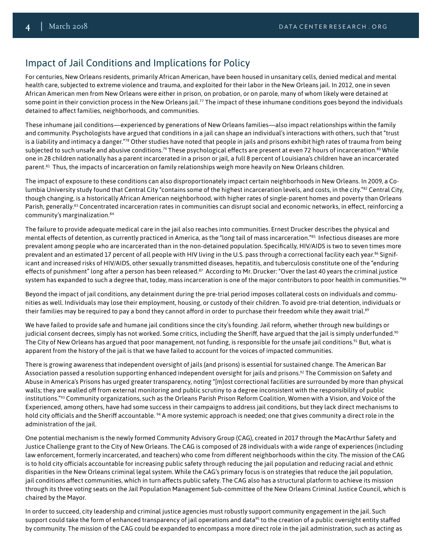# Impact of Jail Conditions and Implications for Policy

For centuries, New Orleans residents, primarily African American, have been housed in unsanitary cells, denied medical and mental health care, subjected to extreme violence and trauma, and exploited for their labor in the New Orleans jail. In 2012, one in seven African American men from New Orleans were either in prison, on probation, or on parole, many of whom likely were detained at some point in their conviction process in the New Orleans jail.<sup>77</sup> The impact of these inhumane conditions goes beyond the individuals detained to affect families, neighborhoods, and communities.

These inhumane jail conditions—experienced by generations of New Orleans families—also impact relationships within the family and community. Psychologists have argued that conditions in a jail can shape an individual's interactions with others, such that "trust is a liability and intimacy a danger."<sup>[78](#page-8-5)</sup> Other studies have noted that people in jails and prisons exhibit high rates of trauma from being subjected to such unsafe and abusive conditions.<sup>[79](#page-8-6)</sup> These psychological effects are present at even 72 hours of incarceration.<sup>80</sup> While one in 28 children nationally has a parent incarcerated in a prison or jail, a full 8 percent of Louisiana's children have an incarcerated parent.<sup>81</sup> Thus, the impacts of incarceration on family relationships weigh more heavily on New Orleans children.

The impact of exposure to these conditions can also disproportionately impact certain neighborhoods in New Orleans. In 2009, a Columbia University study found that Central City "contains some of the highest incarceration levels, and costs, in the city."[82](#page-8-9) Central City, though changing, is a historically African American neighborhood, with higher rates of single-parent homes and poverty than Orleans Parish, generally.<sup>[83](#page-8-10)</sup> Concentrated incarceration rates in communities can disrupt social and economic networks, in effect, reinforcing a community's marginalization.[84](#page-8-11)

The failure to provide adequate medical care in the jail also reaches into communities. Ernest Drucker describes the physical and mental effects of detention, as currently practiced in America, as the "long tail of mass incarceration."[85](#page-8-12) Infectious diseases are more prevalent among people who are incarcerated than in the non-detained population. Specifically, HIV/AIDS is two to seven times more prevalent and an estimated 17 percent of all people with HIV living in the U.S. pass through a correctional facility each year.<sup>86</sup> Significant and increased risks of HIV/AIDS, other sexually transmitted diseases, hepatitis, and tuberculosis constitute one of the "enduring effects of punishment" long after a person has been released.<sup>[87](#page-8-14)</sup> According to Mr. Drucker: "Over the last 40 years the criminal justice system has expanded to such a degree that, today, mass incarceration is one of the major contributors to poor health in communities."<sup>88</sup>

Beyond the impact of jail conditions, any detainment during the pre-trial period imposes collateral costs on individuals and communities as well. Individuals may lose their employment, housing, or custody of their children. To avoid pre-trial detention, individuals or their families may be required to pay a bond they cannot afford in order to purchase their freedom while they await trial.<sup>[89](#page-8-16)</sup>

We have failed to provide safe and humane jail conditions since the city's founding. Jail reform, whether through new buildings or judicial consent decrees, simply has not worked. Some critics, including the Sheriff, have argued that the jail is simply underfunded.<sup>[90](#page-8-17)</sup> The City of New Orleans has argued that poor management, not funding, is responsible for the unsafe jail conditions.<sup>91</sup> But, what is apparent from the history of the jail is that we have failed to account for the voices of impacted communities.

There is growing awareness that independent oversight of jails (and prisons) is essential for sustained change. The American Bar Association passed a resolution supporting enhanced independent oversight for jails and prisons.<sup>92</sup> The Commission on Safety and Abuse in America's Prisons has urged greater transparency, noting "[m]ost correctional facilities are surrounded by more than physical walls; they are walled off from external monitoring and public scrutiny to a degree inconsistent with the responsibility of public institutions.["93](#page-8-20) Community organizations, such as the Orleans Parish Prison Reform Coalition, Women with a Vision, and Voice of the Experienced, among others, have had some success in their campaigns to address jail conditions, but they lack direct mechanisms to hold city officials and the Sheriff accountable. <sup>94</sup> A more systemic approach is needed; one that gives community a direct role in the administration of the jail.

One potential mechanism is the newly formed Community Advisory Group (CAG), created in 2017 through the MacArthur Safety and Justice Challenge grant to the City of New Orleans. The CAG is composed of 28 individuals with a wide range of experiences (including law enforcement, formerly incarcerated, and teachers) who come from different neighborhoods within the city. The mission of the CAG is to hold city officials accountable for increasing public safety through reducing the jail population and reducing racial and ethnic disparities in the New Orleans criminal legal system. While the CAG's primary focus is on strategies that reduce the jail population, jail conditions affect communities, which in turn affects public safety. The CAG also has a structural platform to achieve its mission through its three voting seats on the Jail Population Management Sub-committee of the New Orleans Criminal Justice Council, which is chaired by the Mayor.

In order to succeed, city leadership and criminal justice agencies must robustly support community engagement in the jail. Such support could take the form of enhanced transparency of jail operations and data<sup>95</sup> to the creation of a public oversight entity staffed by community. The mission of the CAG could be expanded to encompass a more direct role in the jail administration, such as acting as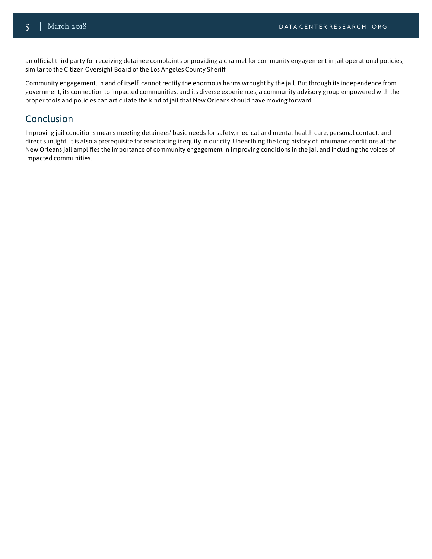an official third party for receiving detainee complaints or providing a channel for community engagement in jail operational policies, similar to the Citizen Oversight Board of the Los Angeles County Sheriff.

Community engagement, in and of itself, cannot rectify the enormous harms wrought by the jail. But through its independence from government, its connection to impacted communities, and its diverse experiences, a community advisory group empowered with the proper tools and policies can articulate the kind of jail that New Orleans should have moving forward.

#### Conclusion

Improving jail conditions means meeting detainees' basic needs for safety, medical and mental health care, personal contact, and direct sunlight. It is also a prerequisite for eradicating inequity in our city. Unearthing the long history of inhumane conditions at the New Orleans jail amplifies the importance of community engagement in improving conditions in the jail and including the voices of impacted communities.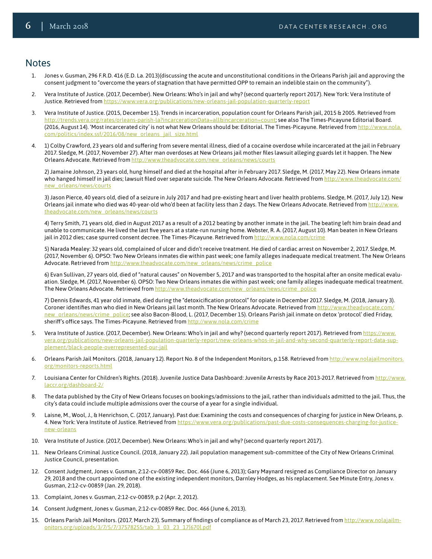#### **Notes**

- 1. Jones v. Gusman, 296 F.R.D. 416 (E.D. La. 2013)(discussing the acute and unconstitutional conditions in the Orleans Parish jail and approving the consent judgment to "overcome the years of stagnation that have permitted OPP to remain an indelible stain on the community").
- 2. Vera Institute of Justice. (2017, December). New Orleans: Who's in jail and why? (second quarterly report 2017). New York: Vera Institute of Justice. Retrieved from <https://www.vera.org/publications/new-orleans-jail-population-quarterly-report>
- <span id="page-5-0"></span>3. Vera Institute of Justice. (2015, December 15). Trends in incarceration, population count for Orleans Parish jail, 2015 & 2005. Retrieved from <http://trends.vera.org/rates/orleans-parish-la?incarcerationData=all&incarceration=count>; see also The Times-Picayune Editorial Board. (2016, August 14). 'Most incarcerated city' is not what New Orleans should be: Editorial. The Times-Picayune. Retrieved from [http://www.nola.](http://www.nola.com/politics/index.ssf/2016/08/new_orleans_jail_size.html) [com/politics/index.ssf/2016/08/new\\_orleans\\_jail\\_size.html](http://www.nola.com/politics/index.ssf/2016/08/new_orleans_jail_size.html)
- <span id="page-5-1"></span>4. 1) Colby Crawford, 23 years old and suffering from severe mental illness, died of a cocaine overdose while incarcerated at the jail in February 2017. Sledge, M. (2017, November 27). After man overdoses at New Orleans jail mother files lawsuit alleging guards let it happen. The New Orleans Advocate. Retrieved from [http://www.theadvocate.com/new\\_orleans/news/courts](http://www.theadvocate.com/new_orleans/news/courts)

2) Jamaine Johnson, 23 years old, hung himself and died at the hospital after in February 2017. Sledge, M. (2017, May 22). New Orleans inmate who hanged himself in jail dies; lawsuit filed over separate suicide. The New Orleans Advocate. Retrieved from [http://www.theadvocate.com/](http://www.theadvocate.com/new_orleans/news/courts) [new\\_orleans/news/courts](http://www.theadvocate.com/new_orleans/news/courts)

3) Jason Pierce, 40 years old, died of a seizure in July 2017 and had pre-existing heart and liver health problems. Sledge, M. (2017, July 12). New Orleans jail inmate who died was 40-year-old who'd been at facility less than 2 days. The New Orleans Advocate. Retrieved from [http://www.](http://www.theadvocate.com/new_orleans/news/courts) [theadvocate.com/new\\_orleans/news/courts](http://www.theadvocate.com/new_orleans/news/courts)

4) Terry Smith, 71 years old, died in August 2017 as a result of a 2012 beating by another inmate in the jail. The beating left him brain dead and unable to communicate. He lived the last five years at a state-run nursing home. Webster, R. A. (2017, August 10). Man beaten in New Orleans jail in 2012 dies; case spurred consent decree. The Times-Picayune. Retrieved from <http://www.nola.com/crime>

5) Narada Mealey: 32 years old, complained of ulcer and didn't receive treatment. He died of cardiac arrest on November 2, 2017. Sledge, M. (2017, November 6). OPSO: Two New Orleans inmates die within past week; one family alleges inadequate medical treatment. The New Orleans Advocate. Retrieved from [http://www.theadvocate.com/new\\_orleans/news/crime\\_police](http://www.theadvocate.com/new_orleans/news/crime_police)

6) Evan Sullivan, 27 years old, died of "natural causes" on November 5, 2017 and was transported to the hospital after an onsite medical evaluation. Sledge, M. (2017, November 6). OPSO: Two New Orleans inmates die within past week; one family alleges inadequate medical treatment. The New Orleans Advocate. Retrieved from [http://www.theadvocate.com/new\\_orleans/news/crime\\_police](http://www.theadvocate.com/new_orleans/news/crime_police)

7) Dennis Edwards, 41 year old inmate, died during the "detoxicification protocol" for opiate in December 2017. Sledge, M. (2018, January 3). Coroner identifies man who died in New Orleans jail last month. The New Orleans Advocate. Retrieved from [http://www.theadvocate.com/](http://www.theadvocate.com/new_orleans/news/crime_police) [new\\_orleans/news/crime\\_police](http://www.theadvocate.com/new_orleans/news/crime_police); see also Bacon-Blood, L. (2017, December 15). Orleans Parish jail inmate on detox 'protocol' died Friday, sheriff's office says. The Times-Picayune. Retrieved from <http://www.nola.com/crime>

- <span id="page-5-2"></span>5. Vera Institute of Justice. (2017, December). New Orleans: Who's in jail and why? (second quarterly report 2017). Retrieved from [https://www.](https://www.vera.org/publications/new-orleans-jail-population-quarterly-report/new-orleans-whos-in-j) [vera.org/publications/new-orleans-jail-population-quarterly-report/new-orleans-whos-in-jail-and-why-second-quarterly-report-data-sup](https://www.vera.org/publications/new-orleans-jail-population-quarterly-report/new-orleans-whos-in-j)[plement/black-people-overrepresented-our-jail](https://www.vera.org/publications/new-orleans-jail-population-quarterly-report/new-orleans-whos-in-j)
- <span id="page-5-3"></span>6. Orleans Parish Jail Monitors. (2018, January 12). Report No. 8 of the Independent Monitors, p.158. Retrieved from [http://www.nolajailmonitors.](http://www.nolajailmonitors.org/monitors-reports.html) [org/monitors-reports.html](http://www.nolajailmonitors.org/monitors-reports.html)
- <span id="page-5-4"></span>7. Louisiana Center for Children's Rights. (2018). Juvenile Justice Data Dashboard: Juvenile Arrests by Race 2013-2017. Retrieved from [http://www.](http://www.laccr.org/dashboard-2/) [laccr.org/dashboard-2/](http://www.laccr.org/dashboard-2/)
- <span id="page-5-5"></span>8. The data published by the City of New Orleans focuses on bookings/admissions to the jail, rather than individuals admitted to the jail. Thus, the city's data could include multiple admissions over the course of a year for a single individual.
- <span id="page-5-6"></span>9. Laisne, M., Wool, J., & Henrichson, C. (2017, January). Past due: Examining the costs and consequences of charging for justice in New Orleans, p. 4. New York: Vera Institute of Justice. Retrieved from [https://www.vera.org/publications/past-due-costs-consequences-charging-for-justice](https://www.vera.org/publications/past-due-costs-consequences-charging-for-justice-new-orleans)[new-orleans](https://www.vera.org/publications/past-due-costs-consequences-charging-for-justice-new-orleans)
- <span id="page-5-7"></span>10. Vera Institute of Justice. (2017, December). New Orleans: Who's in jail and why? (second quarterly report 2017).
- 11. New Orleans Criminal Justice Council. (2018, January 22). Jail population management sub-committee of the City of New Orleans Criminal Justice Council, presentation.
- <span id="page-5-8"></span>12. Consent Judgment, Jones v. Gusman, 2:12-cv-00859 Rec. Doc. 466 (June 6, 2013); Gary Maynard resigned as Compliance Director on January 29, 2018 and the court appointed one of the existing independent monitors, Darnley Hodges, as his replacement. See Minute Entry, Jones v. Gusman, 2:12-cv-00859 (Jan. 29, 2018).
- <span id="page-5-9"></span>13. Complaint, Jones v. Gusman, 2:12-cv-00859, p.2 (Apr. 2, 2012).
- <span id="page-5-10"></span>14. Consent Judgment, Jones v. Gusman, 2:12-cv-00859 Rec. Doc. 466 (June 6, 2013).
- <span id="page-5-11"></span>15. Orleans Parish Jail Monitors. (2017, March 23). Summary of findings of compliance as of March 23, 2017. Retrieved from [http://www.nolajailm](http://www.nolajailmonitors.org/uploads/3/7/5/7/37578255/tab_3_03_23_17[670].pdf)[onitors.org/uploads/3/7/5/7/37578255/tab\\_3\\_03\\_23\\_17\[670\].pdf](http://www.nolajailmonitors.org/uploads/3/7/5/7/37578255/tab_3_03_23_17[670].pdf)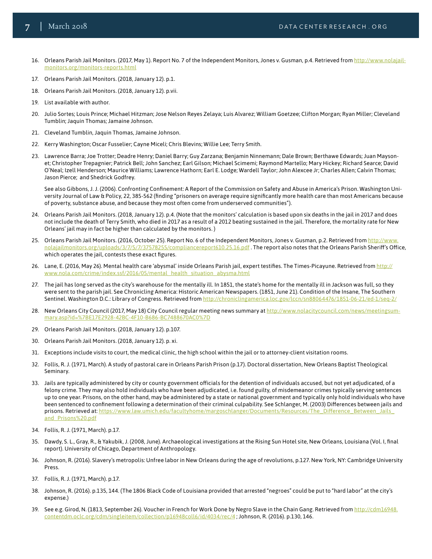- <span id="page-6-0"></span>16. Orleans Parish Jail Monitors. (2017, May 1). Report No. 7 of the Independent Monitors, Jones v. Gusman, p.4. Retrieved from [http://www.nolajail](http://www.nolajailmonitors.org/monitors-reports.html)[monitors.org/monitors-reports.html](http://www.nolajailmonitors.org/monitors-reports.html)
- <span id="page-6-1"></span>17. Orleans Parish Jail Monitors. (2018, January 12). p.1.
- <span id="page-6-2"></span>18. Orleans Parish Jail Monitors. (2018, January 12). p.vii.
- <span id="page-6-3"></span>19. List available with author.
- <span id="page-6-4"></span>20. Julio Sortes; Louis Prince; Michael Hitzman; Jose Nelson Reyes Zelaya; Luis Alvarez; William Goetzee; Clifton Morgan; Ryan Miller; Cleveland Tumblin; Jaquin Thomas; Jamaine Johnson.
- <span id="page-6-5"></span>21. Cleveland Tumblin, Jaquin Thomas, Jamaine Johnson.
- <span id="page-6-6"></span>22. Kerry Washington; Oscar Fusselier; Cayne Miceli; Chris Blevins; Willie Lee; Terry Smith.
- <span id="page-6-7"></span>23. Lawrence Barra; Joe Trotter; Deadre Henry; Daniel Barry; Guy Zarzana; Benjamin Ninnemann; Dale Brown; Berthawe Edwards; Juan Maysonet; Christopher Trepagnier; Patrick Bell; John Sanchez; Earl Gilson; Michael Scimemi; Raymond Martello; Mary Hickey; Richard Searce; David O'Neal; Izell Henderson; Maurice Williams; Lawrence Hathorn; Earl E. Lodge; Wardell Taylor; John Alexcee Jr; Charles Allen; Calvin Thomas; Jason Pierce; and Shedrick Godfrey.

<span id="page-6-8"></span>See also Gibbons, J. J. (2006). Confronting Confinement: A Report of the Commission on Safety and Abuse in America's Prison. Washington University Journal of Law & Policy, 22, 385-562 (finding "prisoners on average require significantly more health care than most Americans because of poverty, substance abuse, and because they most often come from underserved communities").

- 24. Orleans Parish Jail Monitors. (2018, January 12). p.4. (Note that the monitors' calculation is based upon six deaths in the jail in 2017 and does not include the death of Terry Smith, who died in 2017 as a result of a 2012 beating sustained in the jail. Therefore, the mortality rate for New Orleans' jail may in fact be higher than calculated by the monitors. )
- <span id="page-6-9"></span>25. Orleans Parish Jail Monitors. (2016, October 25). Report No. 6 of the Independent Monitors, Jones v. Gusman, p.2. Retrieved from [http://www.](http://www.nolajailmonitors.org/uploads/3/7/5/7/37578255/compliancereport610.25.16.pdf) [nolajailmonitors.org/uploads/3/7/5/7/37578255/compliancereport610.25.16.pdf](http://www.nolajailmonitors.org/uploads/3/7/5/7/37578255/compliancereport610.25.16.pdf) . The report also notes that the Orleans Parish Sheriff's Office, which operates the jail, contests these exact figures.
- <span id="page-6-10"></span>26. Lane, E. (2016, May 26). Mental health care 'abysmal' inside Orleans Parish jail, expert testifies. The Times-Picayune. Retrieved from [http://](http://www.nola.com/crime/index.ssf/2016/05/mental_health_situation_abysma.html) [www.nola.com/crime/index.ssf/2016/05/mental\\_health\\_situation\\_abysma.html](http://www.nola.com/crime/index.ssf/2016/05/mental_health_situation_abysma.html)
- <span id="page-6-11"></span>27. The jail has long served as the city's warehouse for the mentally ill. In 1851, the state's home for the mentally ill in Jackson was full, so they were sent to the parish jail. See Chronicling America: Historic American Newspapers. (1851, June 21). Condition of the Insane, The Southern Sentinel. Washington D.C.: Library of Congress. Retrieved from <http://chroniclingamerica.loc.gov/lccn/sn88064476/1851-06-21/ed-1/seq-2/>
- <span id="page-6-12"></span>28. New Orleans City Council (2017, May 18) City Council regular meeting news summary at [http://www.nolacitycouncil.com/news/meetingsum](http://www.nolacitycouncil.com/news/meetingsummary.asp?id=%7BE17E2928-42BC-4F10-B686-BC7488670AC0%7D)[mary.asp?id=%7BE17E2928-42BC-4F10-B686-BC7488670AC0%7D](http://www.nolacitycouncil.com/news/meetingsummary.asp?id=%7BE17E2928-42BC-4F10-B686-BC7488670AC0%7D)
- <span id="page-6-13"></span>29. Orleans Parish Jail Monitors. (2018, January 12). p.107.
- <span id="page-6-14"></span>30. Orleans Parish Jail Monitors. (2018, January 12). p. xi.
- <span id="page-6-15"></span>31. Exceptions include visits to court, the medical clinic, the high school within the jail or to attorney-client visitation rooms.
- <span id="page-6-16"></span>32. Follis, R. J. (1971, March). A study of pastoral care in Orleans Parish Prison (p.17). Doctoral dissertation, New Orleans Baptist Theological Seminary.
- <span id="page-6-17"></span>33. Jails are typically administered by city or county government officials for the detention of individuals accused, but not yet adjudicated, of a felony crime. They may also hold individuals who have been adjudicated, i.e. found guilty, of misdemeanor crimes typically serving sentences up to one year. Prisons, on the other hand, may be administered by a state or national government and typically only hold individuals who have been sentenced to confinement following a determination of their criminal culpability. See Schlanger, M. (2003) Differences between jails and prisons. Retrieved at: https://www.law.umich.edu/facultyhome/margoschlanger/Documents/Resources/The\_Difference\_Between\_Jails [and\\_Prisons%20.pdf](https://www.law.umich.edu/facultyhome/margoschlanger/Documents/Resources/The_Difference_Between_Jail)
- <span id="page-6-18"></span>34. Follis, R. J. (1971, March). p.17.
- <span id="page-6-19"></span>35. Dawdy, S. L., Gray, R., & Yakubik, J. (2008, June). Archaeological investigations at the Rising Sun Hotel site, New Orleans, Louisiana (Vol. I, final report). University of Chicago, Department of Anthropology.
- <span id="page-6-20"></span>36. Johnson, R. (2016). Slavery's metropolis: Unfree labor in New Orleans during the age of revolutions, p.127. New York, NY: Cambridge University Press.
- <span id="page-6-21"></span>37. Follis, R. J. (1971, March). p.17.
- <span id="page-6-22"></span>38. Johnson, R. (2016). p.135, 144. (The 1806 Black Code of Louisiana provided that arrested "negroes" could be put to "hard labor" at the city's expense.)
- <span id="page-6-23"></span>39. See e.g. Girod, N. (1813, September 26). Voucher in French for Work Done by Negro Slave in the Chain Gang. Retrieved from [http://cdm16948.](http://cdm16948.contentdm.oclc.org/cdm/singleitem/collection/p16948coll6/id/4034/rec/4) [contentdm.oclc.org/cdm/singleitem/collection/p16948coll6/id/4034/rec/4](http://cdm16948.contentdm.oclc.org/cdm/singleitem/collection/p16948coll6/id/4034/rec/4) ; Johnson, R. (2016). p.130, 146.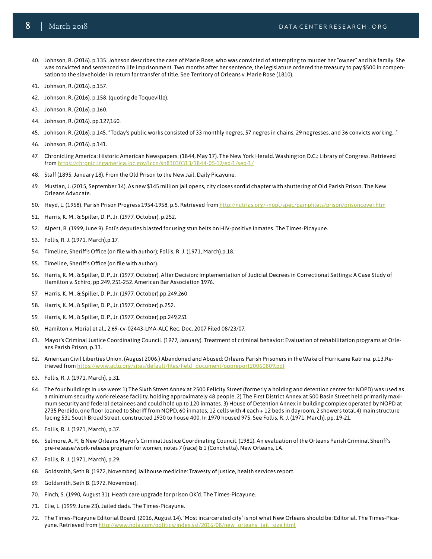- <span id="page-7-0"></span>40. Johnson, R. (2016). p.135. Johnson describes the case of Marie Rose, who was convicted of attempting to murder her "owner" and his family. She was convicted and sentenced to life imprisonment. Two months after her sentence, the legislature ordered the treasury to pay \$500 in compensation to the slaveholder in return for transfer of title. See Territory of Orleans v. Marie Rose (1810).
- <span id="page-7-1"></span>41. Johnson, R. (2016). p.157.
- <span id="page-7-2"></span>42. Johnson, R. (2016). p.158. (quoting de Toqueville).
- <span id="page-7-3"></span>43. Johnson, R. (2016). p.160.
- <span id="page-7-4"></span>44. Johnson, R. (2016). pp.127,160.
- <span id="page-7-5"></span>45. Johnson, R. (2016). p.145. "Today's public works consisted of 33 monthly negres, 57 negres in chains, 29 negresses, and 36 convicts working…"
- <span id="page-7-6"></span>46. Johnson, R. (2016). p.141.
- <span id="page-7-7"></span>47. Chronicling America: Historic American Newspapers. (1844, May 17). The New York Herald. Washington D.C.: Library of Congress. Retrieved from<https://chroniclingamerica.loc.gov/lccn/sn83030313/1844-05-17/ed-1/seq-1/>
- <span id="page-7-8"></span>48. Staff (1895, January 18). From the Old Prison to the New Jail. Daily Picayune.
- <span id="page-7-9"></span>49. Mustian, J. (2015, September 14). As new \$145 million jail opens, city closes sordid chapter with shuttering of Old Parish Prison. The New Orleans Advocate.
- <span id="page-7-10"></span>50. Heyd, L. (1958). Parish Prison Progress 1954-1958, p.5. Retrieved from <http://nutrias.org/~nopl/spec/pamphlets/prison/prisoncover.htm>
- <span id="page-7-11"></span>51. Harris, K. M., & Spiller, D. P., Jr. (1977, October), p.252.
- <span id="page-7-12"></span>52. Alpert, B. (1999, June 9). Foti's deputies blasted for using stun belts on HIV-positive inmates. The Times-Picayune.
- <span id="page-7-13"></span>53. Follis, R. J. (1971, March).p.17.
- <span id="page-7-14"></span>54. Timeline, Sheriff's Office (on file with author); Follis, R. J. (1971, March).p.18.
- <span id="page-7-15"></span>55. Timeline, Sheriff's Office (on file with author).
- <span id="page-7-16"></span>56. Harris, K. M., & Spiller, D. P., Jr. (1977, October). After Decision: Implementation of Judicial Decrees in Correctional Settings: A Case Study of Hamilton v. Schiro, pp.249, 251-252. American Bar Association 1976.
- <span id="page-7-17"></span>57. Harris, K. M., & Spiller, D. P., Jr. (1977, October).pp.249,260
- <span id="page-7-18"></span>58. Harris, K. M., & Spiller, D. P., Jr. (1977, October).p.252.
- <span id="page-7-19"></span>59. Harris, K. M., & Spiller, D. P., Jr. (1977, October).pp.249,251
- <span id="page-7-20"></span>60. Hamilton v. Morial et al., 2:69-cv-02443-LMA-ALC Rec. Doc. 2007 Filed 08/23/07.
- <span id="page-7-21"></span>61. Mayor's Criminal Justice Coordinating Council. (1977, January). Treatment of criminal behavior: Evaluation of rehabilitation programs at Orleans Parish Prison, p.33.
- <span id="page-7-22"></span>62. American Civil Liberties Union. (August 2006.) Abandoned and Abused: Orleans Parish Prisoners in the Wake of Hurricane Katrina. p.13.Retrieved from [https://www.aclu.org/sites/default/files/field\\_document/oppreport20060809.pdf](https://www.aclu.org/sites/default/files/field_document/oppreport20060809.pdf)
- <span id="page-7-23"></span>63. Follis, R. J. (1971, March), p.31.
- <span id="page-7-24"></span>64. The four buildings in use were: 1) The Sixth Street Annex at 2500 Felicity Street (formerly a holding and detention center for NOPD) was used as a minimum security work-release facility, holding approximately 48 people. 2) The First District Annex at 500 Basin Street held primarily maximum security and federal detainees and could hold up to 120 inmates. 3) House of Detention Annex in building complex operated by NOPD at 2735 Perdido, one floor loaned to Sheriff from NOPD, 60 inmates, 12 cells with 4 each + 12 beds in dayroom, 2 showers total.4) main structure facing 531 South Broad Street, constructed 1930 to house 400. In 1970 housed 975. See Follis, R. J. (1971, March), pp. 19-21.
- <span id="page-7-25"></span>65. Follis, R. J. (1971, March), p.37.
- <span id="page-7-26"></span>66. Selmore, A. P., & New Orleans Mayor's Criminal Justice Coordinating Council. (1981). An evaluation of the Orleans Parish Criminal Sheriff's pre-release/work-release program for women, notes 7 (race) & 1 (Conchetta). New Orleans, LA.
- <span id="page-7-27"></span>67. Follis, R. J. (1971, March), p.29.
- <span id="page-7-28"></span>68. Goldsmith, Seth B. (1972, November) Jailhouse medicine: Travesty of justice, health services report.
- <span id="page-7-29"></span>69. Goldsmith, Seth B. (1972, November).
- <span id="page-7-30"></span>70. Finch, S. (1990, August 31). Heath care upgrade for prison OK'd. The Times-Picayune.
- <span id="page-7-31"></span>71. Elie, L. (1999, June 23). Jailed dads. The Times-Picayune.
- <span id="page-7-32"></span>72. The Times-Picayune Editorial Board. (2016, August 14). 'Most incarcerated city' is not what New Orleans should be: Editorial. The Times-Picayune. Retrieved from [http://www.nola.com/politics/index.ssf/2016/08/new\\_orleans\\_jail\\_size.html](http://www.nola.com/politics/index.ssf/2016/08/new_orleans_jail_size.html)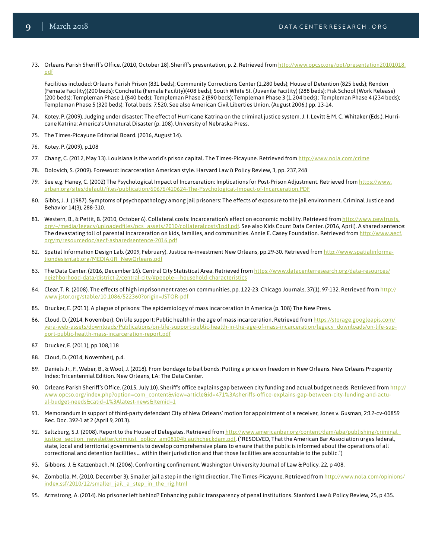73. Orleans Parish Sheriff's Office. (2010, October 18). Sheriff's presentation, p. 2. Retrieved from [http://www.opcso.org/ppt/presentation20101018.](http://www.opcso.org/ppt/presentation20101018.pdf) [pdf](http://www.opcso.org/ppt/presentation20101018.pdf)

<span id="page-8-0"></span>Facilities included: Orleans Parish Prison (831 beds); Community Corrections Center (1,280 beds); House of Detention (825 beds); Rendon (Female Facility)(200 beds); Conchetta (Female Facility)(408 beds); South White St. (Juvenile Facility) (288 beds); Fisk School (Work Release) (200 beds); Templeman Phase 1 (840 beds); Templeman Phase 2 (890 beds); Templeman Phase 3 (1,204 beds) ; Templeman Phase 4 (234 beds); Templeman Phase 5 (320 beds); Total beds: 7,520. See also American Civil Liberties Union. (August 2006.) pp. 13-14.

- <span id="page-8-1"></span>74. Kotey, P. (2009). Judging under disaster: The effect of Hurricane Katrina on the criminal justice system. J. I. Levitt & M. C. Whitaker (Eds.), Hurricane Katrina: America's Unnatural Disaster (p. 108). University of Nebraska Press.
- <span id="page-8-2"></span>75. The Times-Picayune Editorial Board. (2016, August 14).
- <span id="page-8-3"></span>76. Kotey, P. (2009), p.108
- <span id="page-8-4"></span>77. Chang, C. (2012, May 13). Louisiana is the world's prison capital. The Times-Picayune. Retrieved from <http://www.nola.com/crime>
- <span id="page-8-5"></span>78. Dolovich, S. (2009). Foreword: Incarceration American style. Harvard Law & Policy Review, 3, pp. 237, 248
- <span id="page-8-6"></span>79. See e.g. Haney, C. (2002) The Psychological Impact of Incarceration: Implications for Post-Prison Adjustment. Retrieved from [https://www.](https://www.urban.org/sites/default/files/publication/60676/410624-The-Psychological-Impact-of-Incar) [urban.org/sites/default/files/publication/60676/410624-The-Psychological-Impact-of-Incarceration.PDF](https://www.urban.org/sites/default/files/publication/60676/410624-The-Psychological-Impact-of-Incar)
- <span id="page-8-7"></span>80. Gibbs, J. J. (1987). Symptoms of psychopathology among jail prisoners: The effects of exposure to the jail environment. Criminal Justice and Behavior 14(3), 288-310.
- <span id="page-8-8"></span>81. Western, B., & Pettit, B. (2010, October 6). Collateral costs: Incarceration's effect on economic mobility. Retrieved from [http://www.pewtrusts.](http://www.pewtrusts.org/~/media/legacy/uploadedfiles/pcs_assets/2010/collateralcosts1pdf.pdf) [org/~/media/legacy/uploadedfiles/pcs\\_assets/2010/collateralcosts1pdf.pdf](http://www.pewtrusts.org/~/media/legacy/uploadedfiles/pcs_assets/2010/collateralcosts1pdf.pdf). See also Kids Count Data Center. (2016, April). A shared sentence: The devastating toll of parental incarceration on kids, families, and communities. Annie E. Casey Foundation. Retrieved from [http://www.aecf.](http://www.aecf.org/m/resourcedoc/aecf-asharedsentence-2016.pdf.) [org/m/resourcedoc/aecf-asharedsentence-2016.pdf](http://www.aecf.org/m/resourcedoc/aecf-asharedsentence-2016.pdf.)
- <span id="page-8-9"></span>82. Spatial Information Design Lab. (2009, February). Justice re-investment New Orleans, pp.29-30. Retrieved from [http://www.spatialinforma](http://www.spatialinformationdesignlab.org/MEDIA/JR_NewOrleans.pdf)[tiondesignlab.org/MEDIA/JR\\_NewOrleans.pdf](http://www.spatialinformationdesignlab.org/MEDIA/JR_NewOrleans.pdf)
- <span id="page-8-10"></span>83. The Data Center. (2016, December 16). Central City Statistical Area. Retrieved from [https://www.datacenterresearch.org/data-resources/](https://www.datacenterresearch.org/data-resources/neighborhood-data/district-2/central-city/#people-) [neighborhood-data/district-2/central-city/#people---household-characteristics](https://www.datacenterresearch.org/data-resources/neighborhood-data/district-2/central-city/#people-)
- <span id="page-8-11"></span>84. Clear, T. R. (2008). The effects of high imprisonment rates on communities, pp. 122-23. Chicago Journals, 37(1), 97-132. Retrieved from [http://](http://www.jstor.org/stable/10.1086/522360?origin=JSTOR-pdf) [www.jstor.org/stable/10.1086/522360?origin=JSTOR-pdf](http://www.jstor.org/stable/10.1086/522360?origin=JSTOR-pdf)
- <span id="page-8-12"></span>85. Drucker, E. (2011). A plague of prisons: The epidemiology of mass incarceration in America (p. 108) The New Press.
- <span id="page-8-13"></span>86. Cloud, D. (2014, November). On life support: Public health in the age of mass incarceration. Retrieved from [https://storage.googleapis.com/](https://storage.googleapis.com/vera-web-assets/downloads/Publications/on-life-support-public-health-) [vera-web-assets/downloads/Publications/on-life-support-public-health-in-the-age-of-mass-incarceration/legacy\\_downloads/on-life-sup](https://storage.googleapis.com/vera-web-assets/downloads/Publications/on-life-support-public-health-)[port-public-health-mass-incarceration-report.pdf](https://storage.googleapis.com/vera-web-assets/downloads/Publications/on-life-support-public-health-)
- <span id="page-8-14"></span>87. Drucker, E. (2011), pp.108,118
- <span id="page-8-15"></span>88. Cloud, D. (2014, November), p.4.
- <span id="page-8-16"></span>89. Daniels Jr., F., Weber, B., & Wool, J. (2018). From bondage to bail bonds: Putting a price on freedom in New Orleans. New Orleans Prosperity Index: Tricentennial Edition. New Orleans, LA: The Data Center.
- <span id="page-8-17"></span>90. Orleans Parish Sheriff's Office. (2015, July 10). Sheriff's office explains gap between city funding and actual budget needs. Retrieved from [http://](http://www.opcso.org/index.php?option=com_content&view=article&id=471%3Asheriffs-office-explains-gap) [www.opcso.org/index.php?option=com\\_content&view=article&id=471%3Asheriffs-office-explains-gap-between-city-funding-and-actu](http://www.opcso.org/index.php?option=com_content&view=article&id=471%3Asheriffs-office-explains-gap)[al-budget-needs&catid=1%3Alatest-news&Itemid=1](http://www.opcso.org/index.php?option=com_content&view=article&id=471%3Asheriffs-office-explains-gap)
- <span id="page-8-18"></span>91. Memorandum in support of third-party defendant City of New Orleans' motion for appointment of a receiver, Jones v. Gusman, 2:12-cv-00859 Rec. Doc. 392-1 at 2 (April 9, 2013).
- <span id="page-8-19"></span>92. Saltzburg, S.J. (2008). Report to the House of Delegates. Retrieved from http://www.americanbar.org/content/dam/aba/publishing/criminal [justice\\_section\\_newsletter/crimjust\\_policy\\_am08104b.authcheckdam.pdf](http://www.americanbar.org/content/dam/aba/publishing/criminal_justice_section_newsletter/crimjust_p). ("RESOLVED, That the American Bar Association urges federal, state, local and territorial governments to develop comprehensive plans to ensure that the public is informed about the operations of all correctional and detention facilities … within their jurisdiction and that those facilities are accountable to the public.")
- <span id="page-8-20"></span>93. Gibbons, J. & Katzenbach, N. (2006). Confronting confinement. Washington University Journal of Law & Policy, 22, p 408.
- <span id="page-8-21"></span>94. Zombolla, M. (2010, December 3). Smaller jail a step in the right direction. The Times-Picayune. Retrieved from [http://www.nola.com/opinions/](http://www.nola.com/opinions/index.ssf/2010/12/smaller_jail_a_step_in_the_rig.html) 2/smaller\_jail\_a\_step\_in\_the\_rig.html
- <span id="page-8-22"></span>95. Armstrong, A. (2014). No prisoner left behind? Enhancing public transparency of penal institutions. Stanford Law & Policy Review, 25, p 435.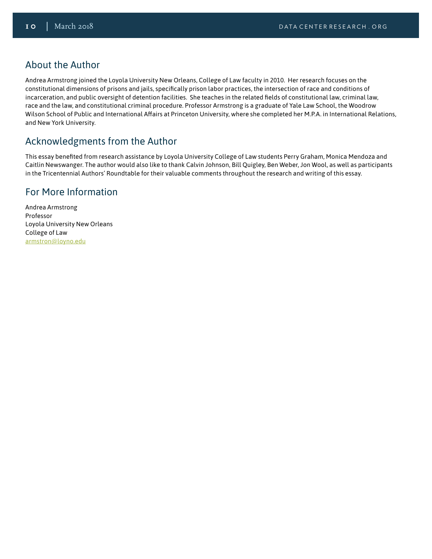#### About the Author

Andrea Armstrong joined the Loyola University New Orleans, College of Law faculty in 2010. Her research focuses on the constitutional dimensions of prisons and jails, specifically prison labor practices, the intersection of race and conditions of incarceration, and public oversight of detention facilities. She teaches in the related fields of constitutional law, criminal law, race and the law, and constitutional criminal procedure. Professor Armstrong is a graduate of Yale Law School, the Woodrow Wilson School of Public and International Affairs at Princeton University, where she completed her M.P.A. in International Relations, and New York University.

# Acknowledgments from the Author

This essay benefited from research assistance by Loyola University College of Law students Perry Graham, Monica Mendoza and Caitlin Newswanger. The author would also like to thank Calvin Johnson, Bill Quigley, Ben Weber, Jon Wool, as well as participants in the Tricentennial Authors' Roundtable for their valuable comments throughout the research and writing of this essay.

### For More Information

Andrea Armstrong Professor Loyola University New Orleans College of Law [armstron@loyno.edu](mailto:armstron%40loyno.edu%20?subject=)